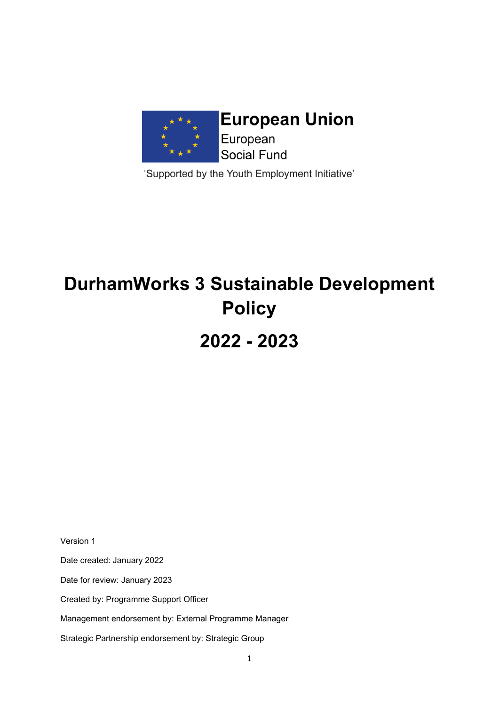

'Supported by the Youth Employment Initiative'

# **DurhamWorks 3 Sustainable Development Policy 2022 - 2023**

Version 1

Date created: January 2022

Date for review: January 2023

Created by: Programme Support Officer

Management endorsement by: External Programme Manager

Strategic Partnership endorsement by: Strategic Group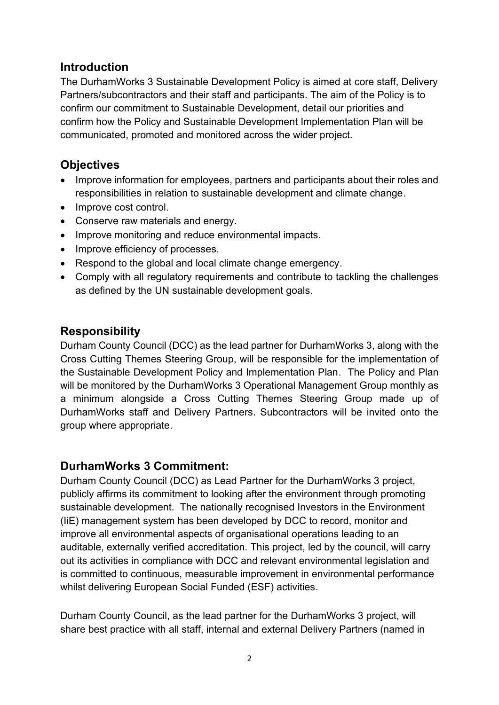# **Introduction**

The DurhamWorks 3 Sustainable Development Policy is aimed at core staff, Delivery Partners/subcontractors and their staff and participants. The aim of the Policy is to confirm our commitment to Sustainable Development, detail our priorities and confirm how the Policy and Sustainable Development Implementation Plan will be communicated, promoted and monitored across the wider project.

# **Objectives**

- Improve information for employees, partners and participants about their roles and responsibilities in relation to sustainable development and climate change.
- Improve cost control.
- Conserve raw materials and energy.
- Improve monitoring and reduce environmental impacts.
- Improve efficiency of processes.
- Respond to the global and local climate change emergency.
- Comply with all regulatory requirements and contribute to tackling the challenges as defined by the UN sustainable development goals.

# **Responsibility**

Durham County Council (DCC) as the lead partner for DurhamWorks 3, along with the Cross Cutting Themes Steering Group, will be responsible for the implementation of the Sustainable Development Policy and Implementation Plan. The Policy and Plan will be monitored by the DurhamWorks 3 Operational Management Group monthly as a minimum alongside a Cross Cutting Themes Steering Group made up of DurhamWorks staff and Delivery Partners. Subcontractors will be invited onto the group where appropriate.

# **DurhamWorks 3 Commitment:**

Durham County Council (DCC) as Lead Partner for the DurhamWorks 3 project, publicly affirms its commitment to looking after the environment through promoting sustainable development. The nationally recognised Investors in the Environment (IiE) management system has been developed by DCC to record, monitor and improve all environmental aspects of organisational operations leading to an auditable, externally verified accreditation. This project, led by the council, will carry out its activities in compliance with DCC and relevant environmental legislation and is committed to continuous, measurable improvement in environmental performance whilst delivering European Social Funded (ESF) activities.

Durham County Council, as the lead partner for the DurhamWorks 3 project, will share best practice with all staff, internal and external Delivery Partners (named in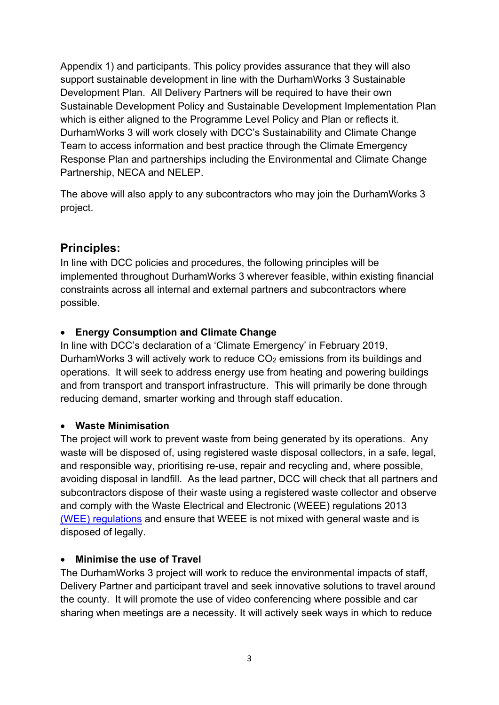Appendix 1) and participants. This policy provides assurance that they will also support sustainable development in line with the DurhamWorks 3 Sustainable Development Plan. All Delivery Partners will be required to have their own Sustainable Development Policy and Sustainable Development Implementation Plan which is either aligned to the Programme Level Policy and Plan or reflects it. DurhamWorks 3 will work closely with DCC's Sustainability and Climate Change Team to access information and best practice through the Climate Emergency Response Plan and partnerships including the Environmental and Climate Change Partnership, NECA and NELEP.

The above will also apply to any subcontractors who may join the DurhamWorks 3 project.

# **Principles:**

In line with DCC policies and procedures, the following principles will be implemented throughout DurhamWorks 3 wherever feasible, within existing financial constraints across all internal and external partners and subcontractors where possible.

## • **Energy Consumption and Climate Change**

In line with DCC's declaration of a 'Climate Emergency' in February 2019, DurhamWorks 3 will actively work to reduce  $CO<sub>2</sub>$  emissions from its buildings and operations. It will seek to address energy use from heating and powering buildings and from transport and transport infrastructure. This will primarily be done through reducing demand, smarter working and through staff education.

#### • **Waste Minimisation**

The project will work to prevent waste from being generated by its operations. Any waste will be disposed of, using registered waste disposal collectors, in a safe, legal, and responsible way, prioritising re-use, repair and recycling and, where possible, avoiding disposal in landfill. As the lead partner, DCC will check that all partners and subcontractors dispose of their waste using a registered waste collector and observe and comply with the Waste Electrical and Electronic (WEEE) regulations 2013 [\(WEE\) regulations](https://www.gov.uk/government/uploads/system/uploads/attachment_data/file/292632/bis-14-604-weee-regulations-2013-government-guidance-notes.pdf) and ensure that WEEE is not mixed with general waste and is disposed of legally.

#### • **Minimise the use of Travel**

The DurhamWorks 3 project will work to reduce the environmental impacts of staff, Delivery Partner and participant travel and seek innovative solutions to travel around the county. It will promote the use of video conferencing where possible and car sharing when meetings are a necessity. It will actively seek ways in which to reduce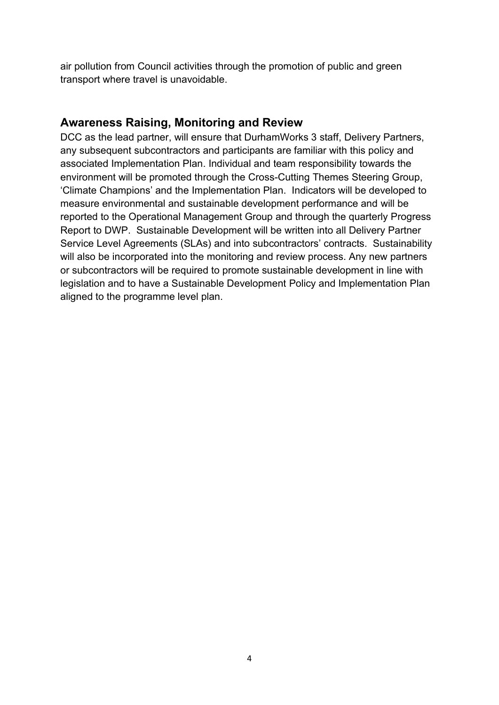air pollution from Council activities through the promotion of public and green transport where travel is unavoidable.

## **Awareness Raising, Monitoring and Review**

DCC as the lead partner, will ensure that DurhamWorks 3 staff, Delivery Partners, any subsequent subcontractors and participants are familiar with this policy and associated Implementation Plan. Individual and team responsibility towards the environment will be promoted through the Cross-Cutting Themes Steering Group, 'Climate Champions' and the Implementation Plan. Indicators will be developed to measure environmental and sustainable development performance and will be reported to the Operational Management Group and through the quarterly Progress Report to DWP. Sustainable Development will be written into all Delivery Partner Service Level Agreements (SLAs) and into subcontractors' contracts. Sustainability will also be incorporated into the monitoring and review process. Any new partners or subcontractors will be required to promote sustainable development in line with legislation and to have a Sustainable Development Policy and Implementation Plan aligned to the programme level plan.